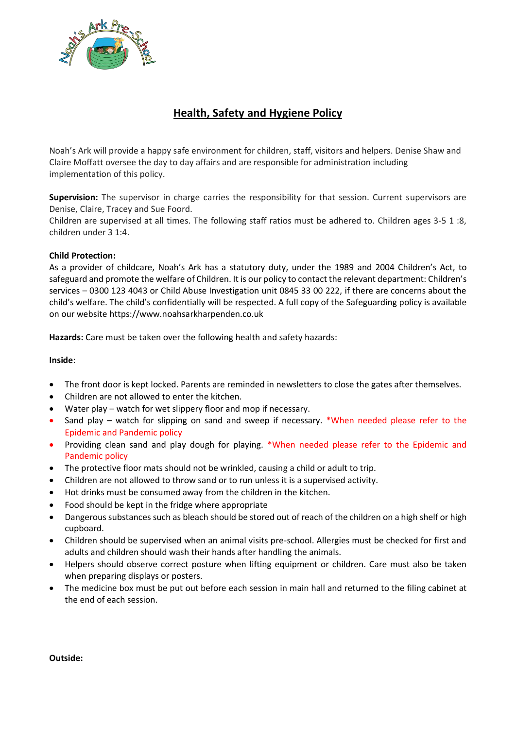

# **Health, Safety and Hygiene Policy**

Noah's Ark will provide a happy safe environment for children, staff, visitors and helpers. Denise Shaw and Claire Moffatt oversee the day to day affairs and are responsible for administration including implementation of this policy.

**Supervision:** The supervisor in charge carries the responsibility for that session. Current supervisors are Denise, Claire, Tracey and Sue Foord.

Children are supervised at all times. The following staff ratios must be adhered to. Children ages 3-5 1 :8, children under 3 1:4.

# **Child Protection:**

As a provider of childcare, Noah's Ark has a statutory duty, under the 1989 and 2004 Children's Act, to safeguard and promote the welfare of Children. It is our policy to contact the relevant department: Children's services – 0300 123 4043 or Child Abuse Investigation unit 0845 33 00 222, if there are concerns about the child's welfare. The child's confidentially will be respected. A full copy of the Safeguarding policy is available on our website https://www.noahsarkharpenden.co.uk

**Hazards:** Care must be taken over the following health and safety hazards:

**Inside**:

- The front door is kept locked. Parents are reminded in newsletters to close the gates after themselves.
- Children are not allowed to enter the kitchen.
- Water play watch for wet slippery floor and mop if necessary.
- Sand play watch for slipping on sand and sweep if necessary. \*When needed please refer to the Epidemic and Pandemic policy
- Providing clean sand and play dough for playing. \*When needed please refer to the Epidemic and Pandemic policy
- The protective floor mats should not be wrinkled, causing a child or adult to trip.
- Children are not allowed to throw sand or to run unless it is a supervised activity.
- Hot drinks must be consumed away from the children in the kitchen.
- Food should be kept in the fridge where appropriate
- Dangerous substances such as bleach should be stored out of reach of the children on a high shelf or high cupboard.
- Children should be supervised when an animal visits pre-school. Allergies must be checked for first and adults and children should wash their hands after handling the animals.
- Helpers should observe correct posture when lifting equipment or children. Care must also be taken when preparing displays or posters.
- The medicine box must be put out before each session in main hall and returned to the filing cabinet at the end of each session.

**Outside:**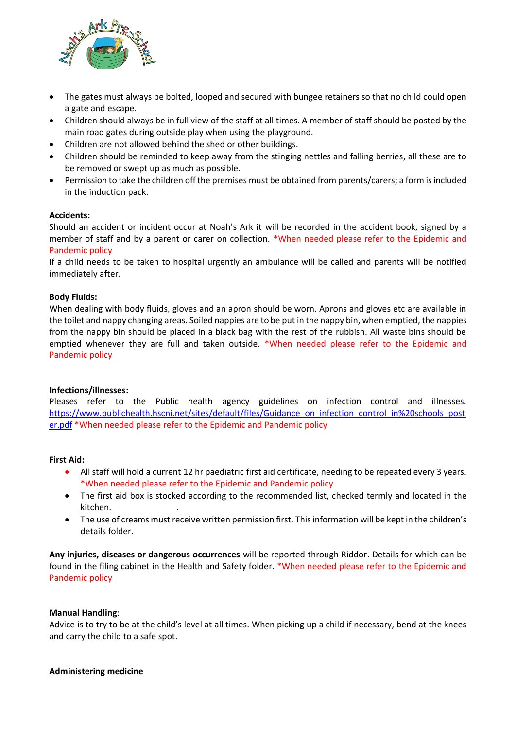

- The gates must always be bolted, looped and secured with bungee retainers so that no child could open a gate and escape.
- Children should always be in full view of the staff at all times. A member of staff should be posted by the main road gates during outside play when using the playground.
- Children are not allowed behind the shed or other buildings.
- Children should be reminded to keep away from the stinging nettles and falling berries, all these are to be removed or swept up as much as possible.
- Permission to take the children off the premises must be obtained from parents/carers; a form is included in the induction pack.

## **Accidents:**

Should an accident or incident occur at Noah's Ark it will be recorded in the accident book, signed by a member of staff and by a parent or carer on collection. \*When needed please refer to the Epidemic and Pandemic policy

If a child needs to be taken to hospital urgently an ambulance will be called and parents will be notified immediately after.

### **Body Fluids:**

When dealing with body fluids, gloves and an apron should be worn. Aprons and gloves etc are available in the toilet and nappy changing areas. Soiled nappies are to be put in the nappy bin, when emptied, the nappies from the nappy bin should be placed in a black bag with the rest of the rubbish. All waste bins should be emptied whenever they are full and taken outside. \*When needed please refer to the Epidemic and Pandemic policy

## **Infections/illnesses:**

Pleases refer to the Public health agency guidelines on infection control and illnesses. [https://www.publichealth.hscni.net/sites/default/files/Guidance\\_on\\_infection\\_control\\_in%20schools\\_post](https://www.publichealth.hscni.net/sites/default/files/Guidance_on_infection_control_in%20schools_poster.pdf) [er.pdf](https://www.publichealth.hscni.net/sites/default/files/Guidance_on_infection_control_in%20schools_poster.pdf) \*When needed please refer to the Epidemic and Pandemic policy

#### **First Aid:**

- All staff will hold a current 12 hr paediatric first aid certificate, needing to be repeated every 3 years. \*When needed please refer to the Epidemic and Pandemic policy
- The first aid box is stocked according to the recommended list, checked termly and located in the kitchen. .
- The use of creams must receive written permission first. This information will be kept in the children's details folder.

**Any injuries, diseases or dangerous occurrences** will be reported through Riddor. Details for which can be found in the filing cabinet in the Health and Safety folder. \*When needed please refer to the Epidemic and Pandemic policy

#### **Manual Handling**:

Advice is to try to be at the child's level at all times. When picking up a child if necessary, bend at the knees and carry the child to a safe spot.

## **Administering medicine**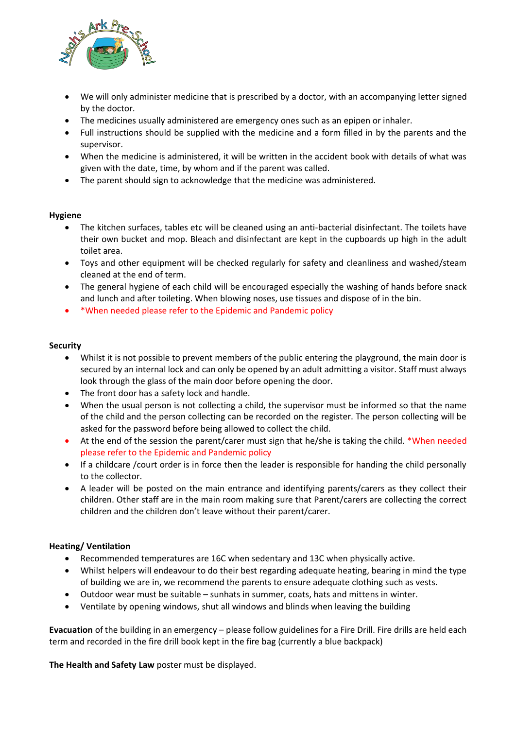

- We will only administer medicine that is prescribed by a doctor, with an accompanying letter signed by the doctor.
- The medicines usually administered are emergency ones such as an epipen or inhaler.
- Full instructions should be supplied with the medicine and a form filled in by the parents and the supervisor.
- When the medicine is administered, it will be written in the accident book with details of what was given with the date, time, by whom and if the parent was called.
- The parent should sign to acknowledge that the medicine was administered.

# **Hygiene**

- The kitchen surfaces, tables etc will be cleaned using an anti-bacterial disinfectant. The toilets have their own bucket and mop. Bleach and disinfectant are kept in the cupboards up high in the adult toilet area.
- Toys and other equipment will be checked regularly for safety and cleanliness and washed/steam cleaned at the end of term.
- The general hygiene of each child will be encouraged especially the washing of hands before snack and lunch and after toileting. When blowing noses, use tissues and dispose of in the bin.
- \*When needed please refer to the Epidemic and Pandemic policy

# **Security**

- Whilst it is not possible to prevent members of the public entering the playground, the main door is secured by an internal lock and can only be opened by an adult admitting a visitor. Staff must always look through the glass of the main door before opening the door.
- The front door has a safety lock and handle.
- When the usual person is not collecting a child, the supervisor must be informed so that the name of the child and the person collecting can be recorded on the register. The person collecting will be asked for the password before being allowed to collect the child.
- At the end of the session the parent/carer must sign that he/she is taking the child. \*When needed please refer to the Epidemic and Pandemic policy
- If a childcare /court order is in force then the leader is responsible for handing the child personally to the collector.
- A leader will be posted on the main entrance and identifying parents/carers as they collect their children. Other staff are in the main room making sure that Parent/carers are collecting the correct children and the children don't leave without their parent/carer.

# **Heating/ Ventilation**

- Recommended temperatures are 16C when sedentary and 13C when physically active.
- Whilst helpers will endeavour to do their best regarding adequate heating, bearing in mind the type of building we are in, we recommend the parents to ensure adequate clothing such as vests.
- Outdoor wear must be suitable sunhats in summer, coats, hats and mittens in winter.
- Ventilate by opening windows, shut all windows and blinds when leaving the building

**Evacuation** of the building in an emergency – please follow guidelines for a Fire Drill. Fire drills are held each term and recorded in the fire drill book kept in the fire bag (currently a blue backpack)

**The Health and Safety Law** poster must be displayed.